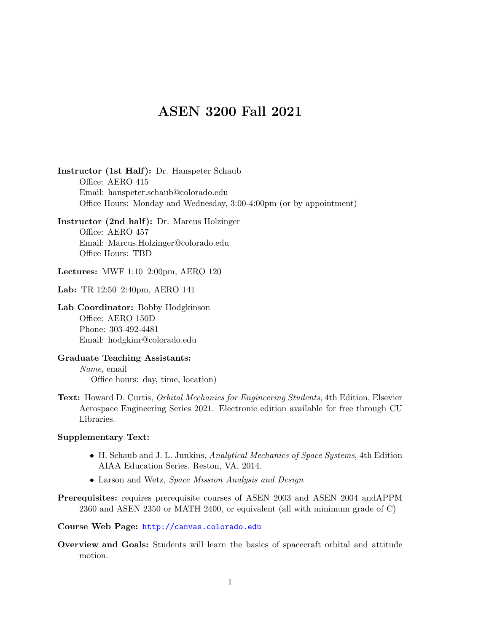## ASEN 3200 Fall 2021

Instructor (1st Half): Dr. Hanspeter Schaub Office: AERO 415 Email: hanspeter.schaub@colorado.edu Office Hours: Monday and Wednesday, 3:00-4:00pm (or by appointment)

Instructor (2nd half): Dr. Marcus Holzinger Office: AERO 457 Email: Marcus.Holzinger@colorado.edu Office Hours: TBD

Lectures: MWF 1:10–2:00pm, AERO 120

Lab: TR 12:50–2:40pm, AERO 141

Lab Coordinator: Bobby Hodgkinson Office: AERO 150D Phone: 303-492-4481 Email: hodgkinr@colorado.edu

Graduate Teaching Assistants: Name, email Office hours: day, time, location)

Text: Howard D. Curtis, Orbital Mechanics for Engineering Students, 4th Edition, Elsevier Aerospace Engineering Series 2021. Electronic edition available for free through CU Libraries.

## Supplementary Text:

- H. Schaub and J. L. Junkins, Analytical Mechanics of Space Systems, 4th Edition AIAA Education Series, Reston, VA, 2014.
- Larson and Wetz, Space Mission Analysis and Design
- Prerequisites: requires prerequisite courses of ASEN 2003 and ASEN 2004 andAPPM 2360 and ASEN 2350 or MATH 2400, or equivalent (all with minimum grade of C)

Course Web Page: <http://canvas.colorado.edu>

Overview and Goals: Students will learn the basics of spacecraft orbital and attitude motion.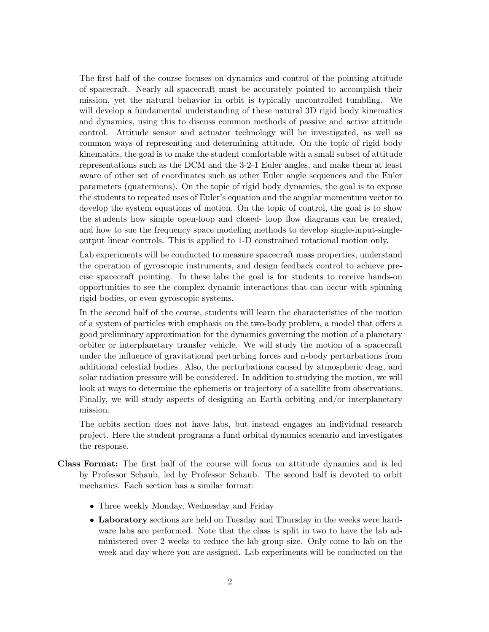The first half of the course focuses on dynamics and control of the pointing attitude of spacecraft. Nearly all spacecraft must be accurately pointed to accomplish their mission, yet the natural behavior in orbit is typically uncontrolled tumbling. We will develop a fundamental understanding of these natural 3D rigid body kinematics and dynamics, using this to discuss common methods of passive and active attitude control. Attitude sensor and actuator technology will be investigated, as well as common ways of representing and determining attitude. On the topic of rigid body kinematics, the goal is to make the student comfortable with a small subset of attitude representations such as the DCM and the 3-2-1 Euler angles, and make them at least aware of other set of coordinates such as other Euler angle sequences and the Euler parameters (quaternions). On the topic of rigid body dynamics, the goal is to expose the students to repeated uses of Euler's equation and the angular momentum vector to develop the system equations of motion. On the topic of control, the goal is to show the students how simple open-loop and closed- loop flow diagrams can be created, and how to sue the frequency space modeling methods to develop single-input-singleoutput linear controls. This is applied to 1-D constrained rotational motion only.

Lab experiments will be conducted to measure spacecraft mass properties, understand the operation of gyroscopic instruments, and design feedback control to achieve precise spacecraft pointing. In these labs the goal is for students to receive hands-on opportunities to see the complex dynamic interactions that can occur with spinning rigid bodies, or even gyroscopic systems.

In the second half of the course, students will learn the characteristics of the motion of a system of particles with emphasis on the two-body problem, a model that offers a good preliminary approximation for the dynamics governing the motion of a planetary orbiter or interplanetary transfer vehicle. We will study the motion of a spacecraft under the influence of gravitational perturbing forces and n-body perturbations from additional celestial bodies. Also, the perturbations caused by atmospheric drag, and solar radiation pressure will be considered. In addition to studying the motion, we will look at ways to determine the ephemeris or trajectory of a satellite from observations. Finally, we will study aspects of designing an Earth orbiting and/or interplanetary mission.

The orbits section does not have labs, but instead engages an individual research project. Here the student programs a fund orbital dynamics scenario and investigates the response.

- Class Format: The first half of the course will focus on attitude dynamics and is led by Professor Schaub, led by Professor Schaub. The second half is devoted to orbit mechanics. Each section has a similar format:
	- Three weekly Monday, Wednesday and Friday
	- Laboratory sections are held on Tuesday and Thursday in the weeks were hardware labs are performed. Note that the class is split in two to have the lab administered over 2 weeks to reduce the lab group size. Only come to lab on the week and day where you are assigned. Lab experiments will be conducted on the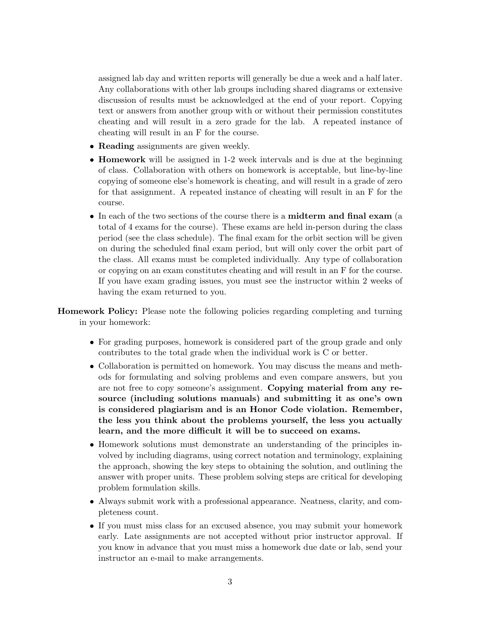assigned lab day and written reports will generally be due a week and a half later. Any collaborations with other lab groups including shared diagrams or extensive discussion of results must be acknowledged at the end of your report. Copying text or answers from another group with or without their permission constitutes cheating and will result in a zero grade for the lab. A repeated instance of cheating will result in an F for the course.

- **Reading** assignments are given weekly.
- Homework will be assigned in 1-2 week intervals and is due at the beginning of class. Collaboration with others on homework is acceptable, but line-by-line copying of someone else's homework is cheating, and will result in a grade of zero for that assignment. A repeated instance of cheating will result in an F for the course.
- In each of the two sections of the course there is a midterm and final exam (a total of 4 exams for the course). These exams are held in-person during the class period (see the class schedule). The final exam for the orbit section will be given on during the scheduled final exam period, but will only cover the orbit part of the class. All exams must be completed individually. Any type of collaboration or copying on an exam constitutes cheating and will result in an F for the course. If you have exam grading issues, you must see the instructor within 2 weeks of having the exam returned to you.

Homework Policy: Please note the following policies regarding completing and turning in your homework:

- For grading purposes, homework is considered part of the group grade and only contributes to the total grade when the individual work is C or better.
- Collaboration is permitted on homework. You may discuss the means and methods for formulating and solving problems and even compare answers, but you are not free to copy someone's assignment. Copying material from any resource (including solutions manuals) and submitting it as one's own is considered plagiarism and is an Honor Code violation. Remember, the less you think about the problems yourself, the less you actually learn, and the more difficult it will be to succeed on exams.
- Homework solutions must demonstrate an understanding of the principles involved by including diagrams, using correct notation and terminology, explaining the approach, showing the key steps to obtaining the solution, and outlining the answer with proper units. These problem solving steps are critical for developing problem formulation skills.
- Always submit work with a professional appearance. Neatness, clarity, and completeness count.
- If you must miss class for an excused absence, you may submit your homework early. Late assignments are not accepted without prior instructor approval. If you know in advance that you must miss a homework due date or lab, send your instructor an e-mail to make arrangements.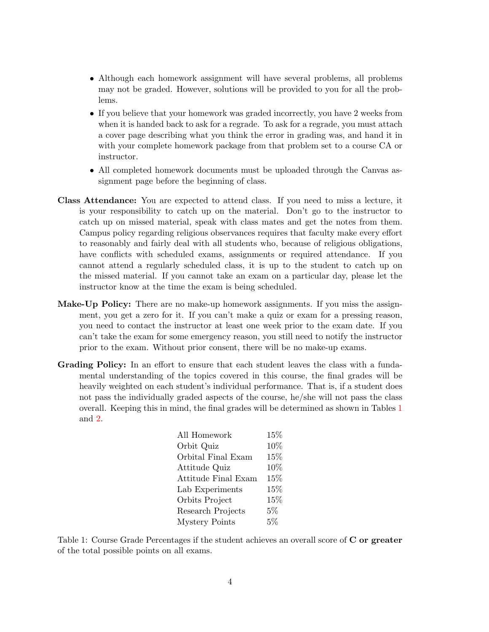- Although each homework assignment will have several problems, all problems may not be graded. However, solutions will be provided to you for all the problems.
- If you believe that your homework was graded incorrectly, you have 2 weeks from when it is handed back to ask for a regrade. To ask for a regrade, you must attach a cover page describing what you think the error in grading was, and hand it in with your complete homework package from that problem set to a course CA or instructor.
- All completed homework documents must be uploaded through the Canvas assignment page before the beginning of class.
- Class Attendance: You are expected to attend class. If you need to miss a lecture, it is your responsibility to catch up on the material. Don't go to the instructor to catch up on missed material, speak with class mates and get the notes from them. Campus policy regarding religious observances requires that faculty make every effort to reasonably and fairly deal with all students who, because of religious obligations, have conflicts with scheduled exams, assignments or required attendance. If you cannot attend a regularly scheduled class, it is up to the student to catch up on the missed material. If you cannot take an exam on a particular day, please let the instructor know at the time the exam is being scheduled.
- Make-Up Policy: There are no make-up homework assignments. If you miss the assignment, you get a zero for it. If you can't make a quiz or exam for a pressing reason, you need to contact the instructor at least one week prior to the exam date. If you can't take the exam for some emergency reason, you still need to notify the instructor prior to the exam. Without prior consent, there will be no make-up exams.
- Grading Policy: In an effort to ensure that each student leaves the class with a fundamental understanding of the topics covered in this course, the final grades will be heavily weighted on each student's individual performance. That is, if a student does not pass the individually graded aspects of the course, he/she will not pass the class overall. Keeping this in mind, the final grades will be determined as shown in Tables [1](#page-3-0) and [2.](#page-4-0)

| All Homework          | $15\%$ |
|-----------------------|--------|
| Orbit Quiz            | 10%    |
| Orbital Final Exam    | 15%    |
| Attitude Quiz         | 10%    |
| Attitude Final Exam   | 15%    |
| Lab Experiments       | 15%    |
| Orbits Project        | 15%    |
| Research Projects     | 5%     |
| <b>Mystery Points</b> | $5\%$  |
|                       |        |

<span id="page-3-0"></span>Table 1: Course Grade Percentages if the student achieves an overall score of C or greater of the total possible points on all exams.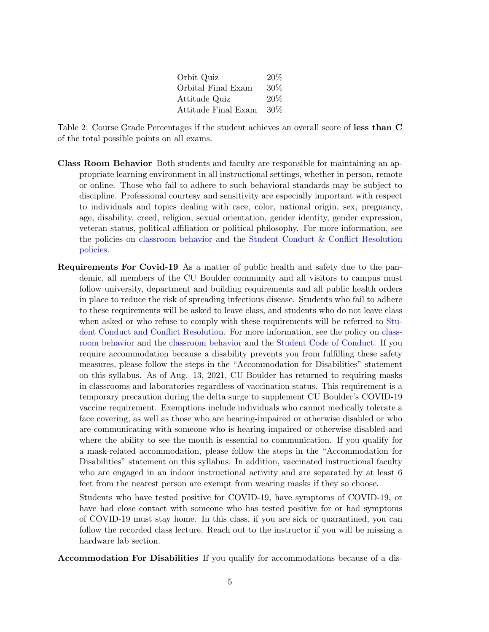| Orbit Quiz          | 20%    |
|---------------------|--------|
| Orbital Final Exam  | $30\%$ |
| Attitude Quiz       | 20%    |
| Attitude Final Exam | $30\%$ |

<span id="page-4-0"></span>Table 2: Course Grade Percentages if the student achieves an overall score of less than C of the total possible points on all exams.

- Class Room Behavior Both students and faculty are responsible for maintaining an appropriate learning environment in all instructional settings, whether in person, remote or online. Those who fail to adhere to such behavioral standards may be subject to discipline. Professional courtesy and sensitivity are especially important with respect to individuals and topics dealing with race, color, national origin, sex, pregnancy, age, disability, creed, religion, sexual orientation, gender identity, gender expression, veteran status, political affiliation or political philosophy. For more information, see the policies on [classroom behavior](https://www.colorado.edu/policies/student-classroom-course-related-behavior) and the [Student Conduct & Conflict Resolution](https://www.colorado.edu/sccr/student-conduct) [policies.](https://www.colorado.edu/sccr/student-conduct)
- Requirements For Covid-19 As a matter of public health and safety due to the pandemic, all members of the CU Boulder community and all visitors to campus must follow university, department and building requirements and all public health orders in place to reduce the risk of spreading infectious disease. Students who fail to adhere to these requirements will be asked to leave class, and students who do not leave class when asked or who refuse to comply with these requirements will be referred to [Stu](https://www.colorado.edu/sccr/)[dent Conduct and Conflict Resolution.](https://www.colorado.edu/sccr/) For more information, see the policy on [class](https://www.colorado.edu/policies/student-classroom-course-related-behavior)[room behavior](https://www.colorado.edu/policies/student-classroom-course-related-behavior) and the [classroom behavior](https://www.colorado.edu/policies/student-classroom-course-related-behavior) and the [Student Code of Conduct.](https://www.colorado.edu/sccr/student-conduct) If you require accommodation because a disability prevents you from fulfilling these safety measures, please follow the steps in the "Accommodation for Disabilities" statement on this syllabus. As of Aug. 13, 2021, CU Boulder has returned to requiring masks in classrooms and laboratories regardless of vaccination status. This requirement is a temporary precaution during the delta surge to supplement CU Boulder's COVID-19 vaccine requirement. Exemptions include individuals who cannot medically tolerate a face covering, as well as those who are hearing-impaired or otherwise disabled or who are communicating with someone who is hearing-impaired or otherwise disabled and where the ability to see the mouth is essential to communication. If you qualify for a mask-related accommodation, please follow the steps in the "Accommodation for Disabilities" statement on this syllabus. In addition, vaccinated instructional faculty who are engaged in an indoor instructional activity and are separated by at least 6 feet from the nearest person are exempt from wearing masks if they so choose.

Students who have tested positive for COVID-19, have symptoms of COVID-19, or have had close contact with someone who has tested positive for or had symptoms of COVID-19 must stay home. In this class, if you are sick or quarantined, you can follow the recorded class lecture. Reach out to the instructor if you will be missing a hardware lab section.

Accommodation For Disabilities If you qualify for accommodations because of a dis-